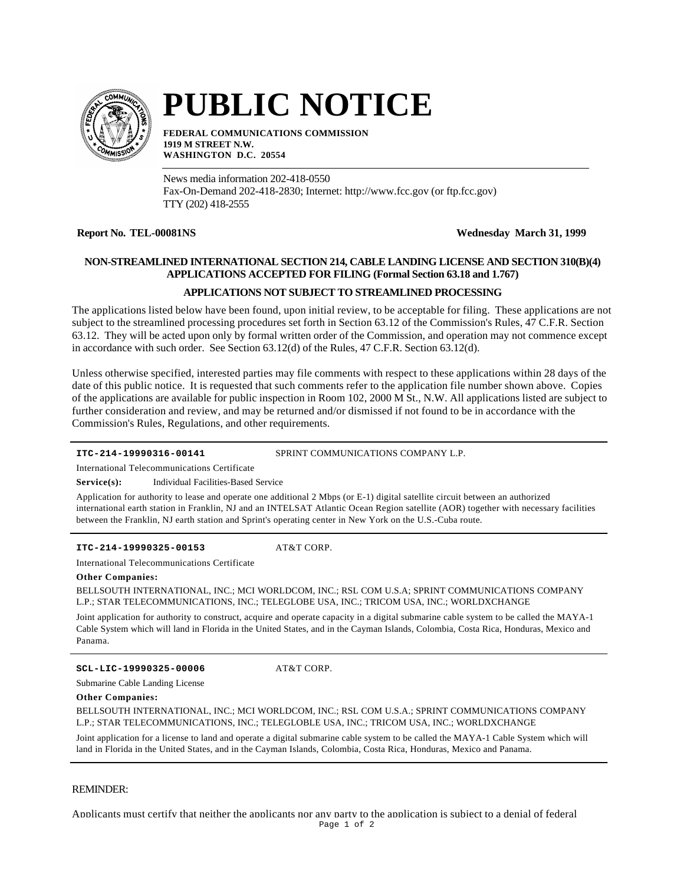

# **PUBLIC NOTICE**

**FEDERAL COMMUNICATIONS COMMISSION 1919 M STREET N.W. WASHINGTON D.C. 20554**

News media information 202-418-0550 Fax-On-Demand 202-418-2830; Internet: http://www.fcc.gov (or ftp.fcc.gov) TTY (202) 418-2555

# **Report No. TEL-00081NS Wednesday March 31, 1999**

# **NON-STREAMLINED INTERNATIONAL SECTION 214, CABLE LANDING LICENSE AND SECTION 310(B)(4) APPLICATIONS ACCEPTED FOR FILING (Formal Section 63.18 and 1.767)**

# **APPLICATIONS NOT SUBJECT TO STREAMLINED PROCESSING**

The applications listed below have been found, upon initial review, to be acceptable for filing. These applications are not subject to the streamlined processing procedures set forth in Section 63.12 of the Commission's Rules, 47 C.F.R. Section 63.12. They will be acted upon only by formal written order of the Commission, and operation may not commence except in accordance with such order. See Section 63.12(d) of the Rules, 47 C.F.R. Section 63.12(d).

Unless otherwise specified, interested parties may file comments with respect to these applications within 28 days of the date of this public notice. It is requested that such comments refer to the application file number shown above. Copies of the applications are available for public inspection in Room 102, 2000 M St., N.W. All applications listed are subject to further consideration and review, and may be returned and/or dismissed if not found to be in accordance with the Commission's Rules, Regulations, and other requirements.

**ITC-214-19990316-00141** SPRINT COMMUNICATIONS COMPANY L.P.

International Telecommunications Certificate

Service(s): Individual Facilities-Based Service

Application for authority to lease and operate one additional 2 Mbps (or E-1) digital satellite circuit between an authorized international earth station in Franklin, NJ and an INTELSAT Atlantic Ocean Region satellite (AOR) together with necessary facilities between the Franklin, NJ earth station and Sprint's operating center in New York on the U.S.-Cuba route.

**ITC-214-19990325-00153** AT&T CORP.

International Telecommunications Certificate

## **Other Companies:**

BELLSOUTH INTERNATIONAL, INC.; MCI WORLDCOM, INC.; RSL COM U.S.A; SPRINT COMMUNICATIONS COMPANY L.P.; STAR TELECOMMUNICATIONS, INC.; TELEGLOBE USA, INC.; TRICOM USA, INC.; WORLDXCHANGE

Joint application for authority to construct, acquire and operate capacity in a digital submarine cable system to be called the MAYA-1 Cable System which will land in Florida in the United States, and in the Cayman Islands, Colombia, Costa Rica, Honduras, Mexico and Panama.

**SCL-LIC-19990325-00006** AT&T CORP.

Submarine Cable Landing License

## **Other Companies:**

BELLSOUTH INTERNATIONAL, INC.; MCI WORLDCOM, INC.; RSL COM U.S.A.; SPRINT COMMUNICATIONS COMPANY L.P.; STAR TELECOMMUNICATIONS, INC.; TELEGLOBLE USA, INC.; TRICOM USA, INC.; WORLDXCHANGE

Joint application for a license to land and operate a digital submarine cable system to be called the MAYA-1 Cable System which will land in Florida in the United States, and in the Cayman Islands, Colombia, Costa Rica, Honduras, Mexico and Panama.

## REMINDER:

Applicants must certify that neither the applicants nor any party to the application is subject to a denial of federal